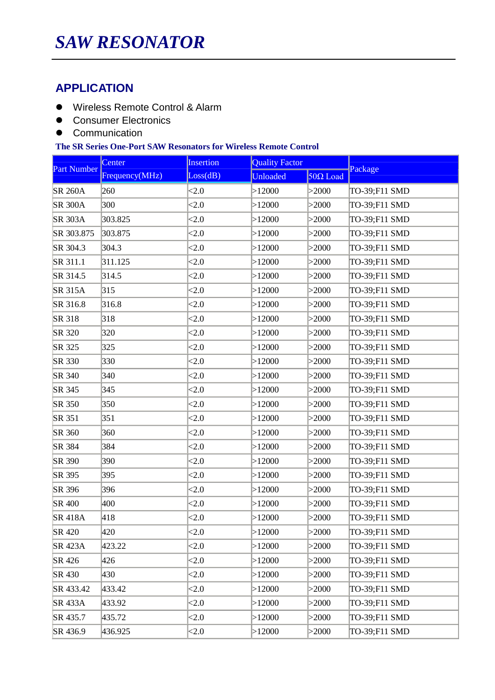## **APPLICATION**

- Wireless Remote Control & Alarm
- **•** Consumer Electronics
- Communication

## **The SR Series One-Port SAW Resonators for Wireless Remote Control**

| <b>Part Number</b> | Center         | Insertion | <b>Quality Factor</b> |                 | Package       |  |
|--------------------|----------------|-----------|-----------------------|-----------------|---------------|--|
|                    | Frequency(MHz) | Loss(dB)  | Unloaded              | $50\Omega$ Load |               |  |
| <b>SR 260A</b>     | 260            | <2.0      | >12000                | >2000           | TO-39;F11 SMD |  |
| <b>SR 300A</b>     | 300            | < 2.0     | >12000                | >2000           | TO-39;F11 SMD |  |
| <b>SR 303A</b>     | 303.825        | <2.0      | >12000                | >2000           | TO-39;F11 SMD |  |
| SR 303.875         | 303.875        | <2.0      | >12000                | >2000           | TO-39;F11 SMD |  |
| SR 304.3           | 304.3          | < 2.0     | >12000                | >2000           | TO-39;F11 SMD |  |
| SR 311.1           | 311.125        | <2.0      | >12000                | >2000           | TO-39;F11 SMD |  |
| SR 314.5           | 314.5          | ${<}2.0$  | >12000                | >2000           | TO-39;F11 SMD |  |
| <b>SR 315A</b>     | 315            | < 2.0     | >12000                | >2000           | TO-39;F11 SMD |  |
| SR 316.8           | 316.8          | < 2.0     | >12000                | >2000           | TO-39;F11 SMD |  |
| SR 318             | 318            | <2.0      | >12000                | >2000           | TO-39;F11 SMD |  |
| SR 320             | 320            | < 2.0     | >12000                | >2000           | TO-39;F11 SMD |  |
| SR 325             | 325            | < 2.0     | >12000                | >2000           | TO-39;F11 SMD |  |
| SR 330             | 330            | <2.0      | >12000                | >2000           | TO-39;F11 SMD |  |
| SR 340             | 340            | <2.0      | >12000                | >2000           | TO-39;F11 SMD |  |
| SR 345             | 345            | <2.0      | >12000                | >2000           | TO-39;F11 SMD |  |
| SR 350             | 350            | <2.0      | >12000                | >2000           | TO-39;F11 SMD |  |
| SR 351             | 351            | <2.0      | >12000                | >2000           | TO-39;F11 SMD |  |
| SR 360             | 360            | < 2.0     | >12000                | >2000           | TO-39;F11 SMD |  |
| SR 384             | 384            | < 2.0     | >12000                | >2000           | TO-39;F11 SMD |  |
| SR 390             | 390            | < 2.0     | >12000                | >2000           | TO-39;F11 SMD |  |
| SR 395             | 395            | < 2.0     | >12000                | >2000           | TO-39;F11 SMD |  |
| SR 396             | 396            | <2.0      | >12000                | >2000           | TO-39;F11 SMD |  |
| SR 400             | 400            | < 2.0     | >12000                | >2000           | TO-39;F11 SMD |  |
| <b>SR 418A</b>     | 418            | <2.0      | >12000                | >2000           | TO-39;F11 SMD |  |
| SR 420             | 420            | <2.0      | >12000                | >2000           | TO-39;F11 SMD |  |
| <b>SR 423A</b>     | 423.22         | <2.0      | >12000                | >2000           | TO-39;F11 SMD |  |
| SR 426             | 426            | < 2.0     | >12000                | >2000           | TO-39;F11 SMD |  |
| SR 430             | 430            | < 2.0     | >12000                | >2000           | TO-39;F11 SMD |  |
| SR 433.42          | 433.42         | <2.0      | >12000                | >2000           | TO-39;F11 SMD |  |
| <b>SR 433A</b>     | 433.92         | <2.0      | >12000                | >2000           | TO-39;F11 SMD |  |
| SR 435.7           | 435.72         | <2.0      | >12000                | >2000           | TO-39;F11 SMD |  |
| SR 436.9           | 436.925        | <2.0      | >12000                | >2000           | TO-39;F11 SMD |  |